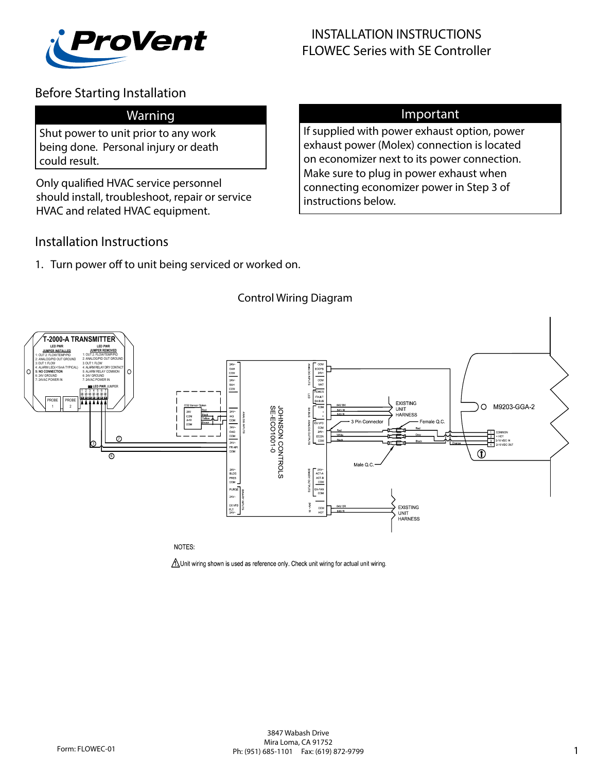

# Before Starting Installation

## Warning

Shut power to unit prior to any work being done. Personal injury or death could result.

Only qualified HVAC service personnel should install, troubleshoot, repair or service HVAC and related HVAC equipment.

## Important

If supplied with power exhaust option, power exhaust power (Molex) connection is located on economizer next to its power connection. Make sure to plug in power exhaust when connecting economizer power in Step 3 of instructions below.

## Installation Instructions

1. Turn power off to unit being serviced or worked on.



Control Wiring Diagram

NOTES:

 $\Lambda$  Unit wiring shown is used as reference only. Check unit wiring for actual unit wiring.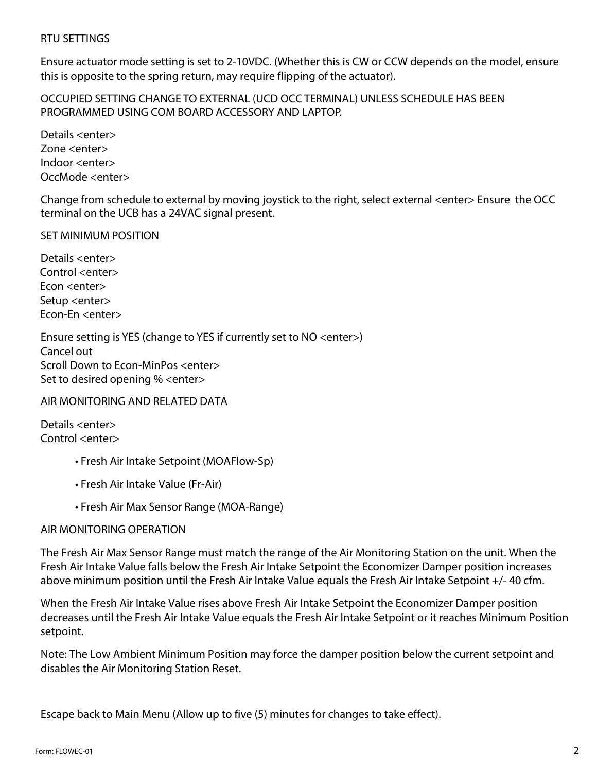#### RTU SETTINGS

Ensure actuator mode setting is set to 2-10VDC. (Whether this is CW or CCW depends on the model, ensure this is opposite to the spring return, may require flipping of the actuator).

OCCUPIED SETTING CHANGE TO EXTERNAL (UCD OCC TERMINAL) UNLESS SCHEDULE HAS BEEN PROGRAMMED USING COM BOARD ACCESSORY AND LAPTOP.

Details <enter> Zone <enter> Indoor <enter> OccMode <enter>

Change from schedule to external by moving joystick to the right, select external <enter> Ensure the OCC terminal on the UCB has a 24VAC signal present.

SET MINIMUM POSITION

Details <enter> Control <enter> Econ <enter> Setup <enter> Econ-En <enter>

Ensure setting is YES (change to YES if currently set to NO <enter>) Cancel out Scroll Down to Econ-MinPos <enter> Set to desired opening % <enter>

#### AIR MONITORING AND RELATED DATA

Details <enter> Control <enter>

- Fresh Air Intake Setpoint (MOAFlow-Sp)
- Fresh Air Intake Value (Fr-Air)
- Fresh Air Max Sensor Range (MOA-Range)

### AIR MONITORING OPERATION

The Fresh Air Max Sensor Range must match the range of the Air Monitoring Station on the unit. When the Fresh Air Intake Value falls below the Fresh Air Intake Setpoint the Economizer Damper position increases above minimum position until the Fresh Air Intake Value equals the Fresh Air Intake Setpoint +/- 40 cfm.

When the Fresh Air Intake Value rises above Fresh Air Intake Setpoint the Economizer Damper position decreases until the Fresh Air Intake Value equals the Fresh Air Intake Setpoint or it reaches Minimum Position setpoint.

Note: The Low Ambient Minimum Position may force the damper position below the current setpoint and disables the Air Monitoring Station Reset.

Escape back to Main Menu (Allow up to five (5) minutes for changes to take effect).